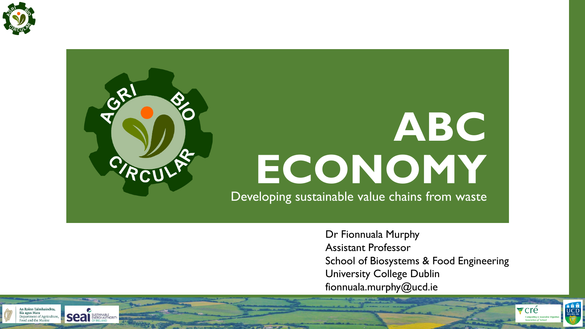

# **ABC ECONOMY** Developing sustainable value chains from waste

Dr Fionnuala Murphy Assistant Professor School of Biosystems & Food Engineering University College Dublin fionnuala.murphy@ucd.ie

**A B B** 

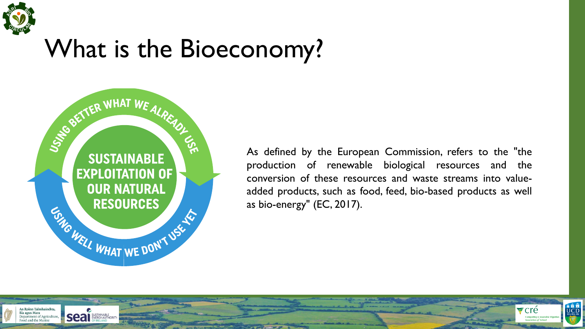

## What is the Bioeconomy?



As defined by the European Commission, refers to the "the production of renewable biological resources and the conversion of these resources and waste streams into valueadded products, such as food, feed, bio-based products as well as bio-energy" (EC, 2017).

**A B B** 

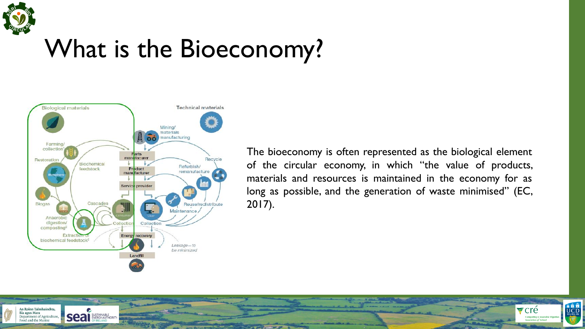

## What is the Bioeconomy?



The bioeconomy is often represented as the biological element of the circular economy, in which "the value of products, materials and resources is maintained in the economy for as long as possible, and the generation of waste minimised" (EC, 2017).

**A B B** 

 $\blacktriangleright$  cré

**Composting & Anae** 

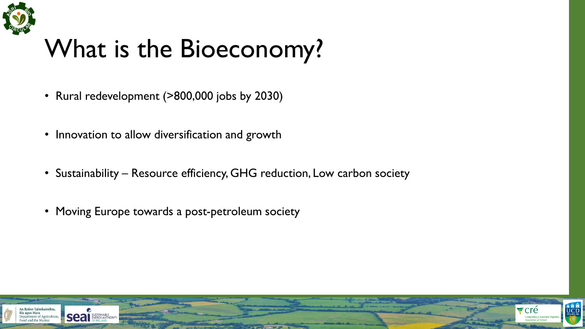

# What is the Bioeconomy?

- Rural redevelopment (>800,000 jobs by 2030)
- Innovation to allow diversification and growth
- Sustainability Resource efficiency, GHG reduction, Low carbon society
- Moving Europe towards a post-petroleum society

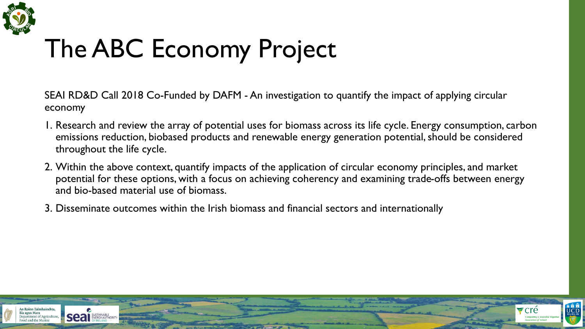

# The ABC Economy Project

SEAI RD&D Call 2018 Co-Funded by DAFM - An investigation to quantify the impact of applying circular economy

- 1. Research and review the array of potential uses for biomass across its life cycle. Energy consumption, carbon emissions reduction, biobased products and renewable energy generation potential, should be considered throughout the life cycle.
- 2. Within the above context, quantify impacts of the application of circular economy principles, and market potential for these options, with a focus on achieving coherency and examining trade-offs between energy and bio-based material use of biomass.
- 3. Disseminate outcomes within the Irish biomass and financial sectors and internationally

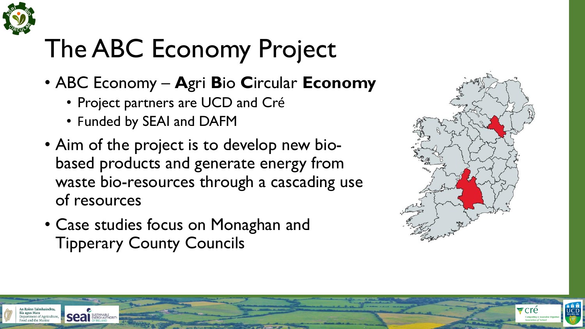

An Roinn Talmhaíochta

rtment of Agricul

# The ABC Economy Project

- ABC Economy **A**gri **B**io **C**ircular **Economy**
	- Project partners are UCD and Cré
	- Funded by SEAI and DAFM
- Aim of the project is to develop new biobased products and generate energy from waste bio-resources through a cascading use of resources
- Case studies focus on Monaghan and Tipperary County Councils



**A H H**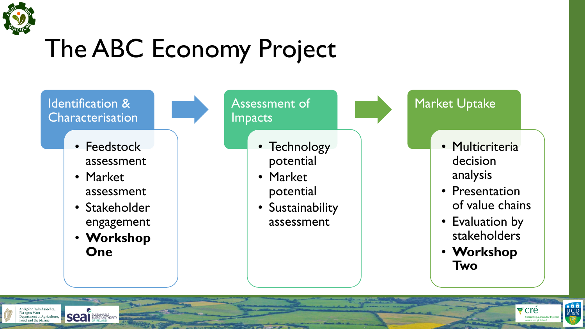

An Roinn Talmhaíochta, Bia agus Mara

Department of Agricult

# The ABC Economy Project

Identification & Characterisation

- Feedstock assessment
- Market assessment
- Stakeholder engagement
- **Workshop One**

**Seal** SUSTAINABLE

Assessment of Impacts

- Technology potential
- Market potential
- **Sustainability** assessment

Market Uptake

- Multicriteria decision analysis
- Presentation of value chains
- Evaluation by stakeholders
- **Workshop Two**

**B B B**<br>UCD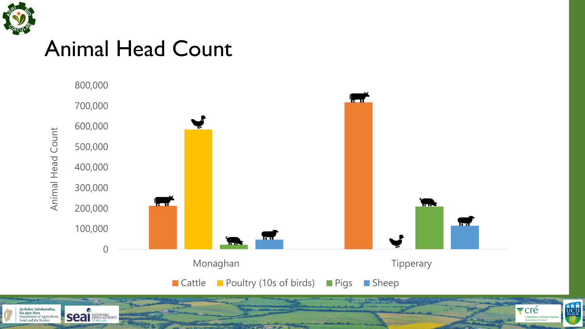

### Animal Head Count



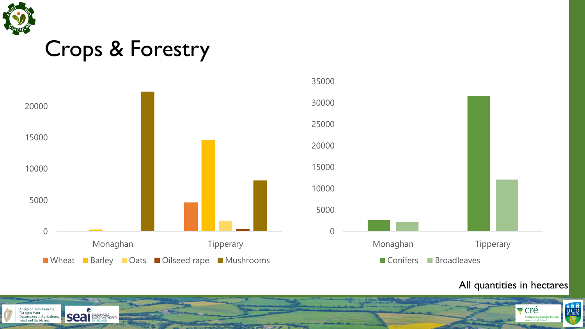

### Crops & Forestry





#### All quantities in hectares

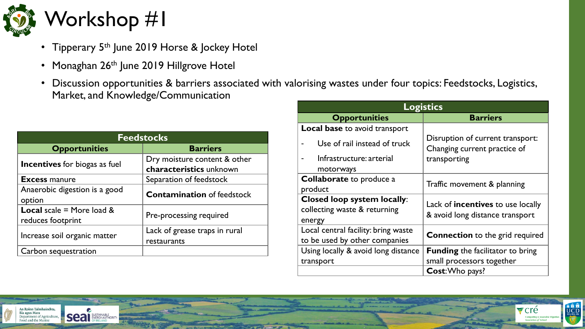

- Tipperary 5<sup>th</sup> June 2019 Horse & Jockey Hotel
- Monaghan 26<sup>th</sup> June 2019 Hillgrove Hotel
- Discussion opportunities & barriers associated with valorising wastes under four topics: Feedstocks, Logistics, Market, and Knowledge/Communication

| <b>Feedstocks</b>                                        |                                                         |  |
|----------------------------------------------------------|---------------------------------------------------------|--|
| <b>Opportunities</b>                                     | <b>Barriers</b>                                         |  |
| <b>Incentives</b> for biogas as fuel                     | Dry moisture content & other<br>characteristics unknown |  |
| <b>Excess manure</b>                                     | Separation of feedstock                                 |  |
| Anaerobic digestion is a good<br>option                  | <b>Contamination</b> of feedstock                       |  |
| <b>Local</b> scale = More load $\&$<br>reduces footprint | Pre-processing required                                 |  |
| Increase soil organic matter                             | Lack of grease traps in rural<br>restaurants            |  |
| Carbon sequestration                                     |                                                         |  |

| <b>Logistics</b>                     |                                                                  |  |
|--------------------------------------|------------------------------------------------------------------|--|
| <b>Opportunities</b>                 | <b>Barriers</b>                                                  |  |
| <b>Local base to avoid transport</b> |                                                                  |  |
| Use of rail instead of truck         | Disruption of current transport:<br>Changing current practice of |  |
| Infrastructure: arterial             | transporting                                                     |  |
| motorways                            |                                                                  |  |
| <b>Collaborate</b> to produce a      | Traffic movement & planning                                      |  |
| product                              |                                                                  |  |
| <b>Closed loop system locally:</b>   | Lack of incentives to use locally                                |  |
| collecting waste & returning         | & avoid long distance transport                                  |  |
| energy                               |                                                                  |  |
| Local central facility: bring waste  | <b>Connection</b> to the grid required                           |  |
| to be used by other companies        |                                                                  |  |
| Using locally & avoid long distance  | <b>Funding</b> the facilitator to bring                          |  |
| transport                            | small processors together                                        |  |
|                                      | Cost: Who pays?                                                  |  |

**B B B** 

 $\blacktriangleright$  cré



C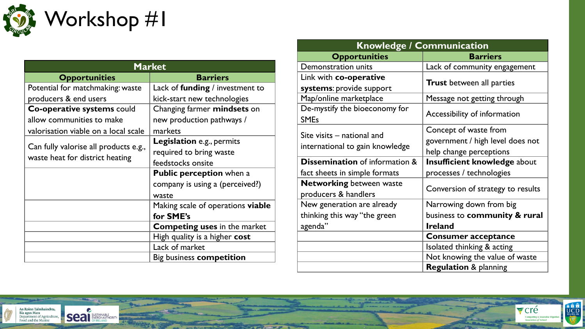

| <b>Market</b>                                                            |                                        |
|--------------------------------------------------------------------------|----------------------------------------|
| <b>Opportunities</b>                                                     | <b>Barriers</b>                        |
| Potential for matchmaking: waste                                         | Lack of <b>funding</b> / investment to |
| producers & end users                                                    | kick-start new technologies            |
| Co-operative systems could                                               | Changing farmer mindsets on            |
| allow communities to make                                                | new production pathways /              |
| valorisation viable on a local scale                                     | markets                                |
| Can fully valorise all products e.g.,<br>waste heat for district heating | <b>Legislation</b> e.g., permits       |
|                                                                          | required to bring waste                |
|                                                                          | feedstocks onsite                      |
|                                                                          | <b>Public perception</b> when a        |
|                                                                          | company is using a (perceived?)        |
|                                                                          | waste                                  |
|                                                                          | Making scale of operations viable      |
|                                                                          | for SME's                              |
|                                                                          | <b>Competing uses in the market</b>    |
|                                                                          | High quality is a higher cost          |
|                                                                          | Lack of market                         |
|                                                                          | Big business competition               |

| <b>Knowledge / Communication</b>  |                             |  |
|-----------------------------------|-----------------------------|--|
| <b>Barriers</b>                   |                             |  |
| Lack of community engagement      |                             |  |
| <b>Trust</b> between all parties  |                             |  |
|                                   | Message not getting through |  |
| Accessibility of information      |                             |  |
| Concept of waste from             |                             |  |
| government / high level does not  |                             |  |
| help change perceptions           |                             |  |
| Insufficient knowledge about      |                             |  |
| processes / technologies          |                             |  |
| Conversion of strategy to results |                             |  |
|                                   | Narrowing down from big     |  |
| business to community & rural     |                             |  |
| <b>Ireland</b>                    |                             |  |
| <b>Consumer acceptance</b>        |                             |  |
| Isolated thinking & acting        |                             |  |
| Not knowing the value of waste    |                             |  |
| <b>Regulation &amp; planning</b>  |                             |  |
|                                   |                             |  |

**ARTISTS** 

Fcré

**Composting & Anaerobio**<br>Association *of* Ireland

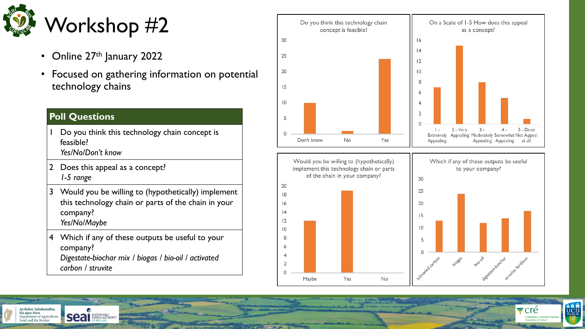

- Online 27<sup>th</sup> January 2022
- Focused on gathering information on potential technology chains

#### **Poll Questions**

An Roinn Talmhaíochta, Bia agus Mara

Department of Agriculture

Food and the Mar

- Do you think this technology chain concept is feasible? *Yes/No/Don't know*
- 2 Does this appeal as a concept? *1-5 range*

**Seal** ENERGY AUTHORITY

- 3 Would you be willing to (hypothetically) implement this technology chain or parts of the chain in your company? *Yes/No/Maybe*
- 4 Which if any of these outputs be useful to your company?

*Digestate-biochar mix / biogas / bio-oil / activated carbon / struvite*







 $\blacktriangleright$  cré

**Composting & Anae**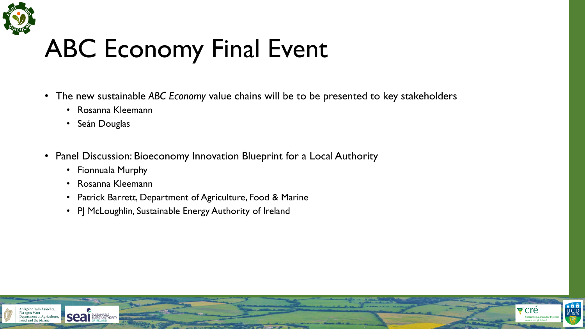

# ABC Economy Final Event

• The new sustainable *ABC Economy* value chains will be to be presented to key stakeholders

**A** THE

- Rosanna Kleemann
- Seán Douglas
- Panel Discussion: Bioeconomy Innovation Blueprint for a Local Authority
	- Fionnuala Murphy
	- Rosanna Kleemann
	- Patrick Barrett, Department of Agriculture, Food & Marine
	- PJ McLoughlin, Sustainable Energy Authority of Ireland